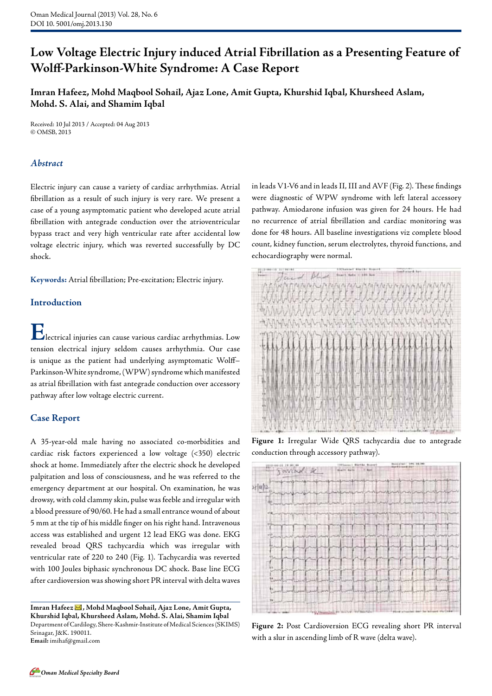# **Low Voltage Electric Injury induced Atrial Fibrillation as a Presenting Feature of Wolff-Parkinson-White Syndrome: A Case Report**

**Imran Hafeez, Mohd Maqbool Sohail, Ajaz Lone, Amit Gupta, Khurshid Iqbal, Khursheed Aslam, Mohd. S. Alai, and Shamim Iqbal**

Received: 10 Jul 2013 / Accepted: 04 Aug 2013 © OMSB, 2013

# *Abstract*

Electric injury can cause a variety of cardiac arrhythmias. Atrial fibrillation as a result of such injury is very rare. We present a case of a young asymptomatic patient who developed acute atrial fibrillation with antegrade conduction over the atrioventricular bypass tract and very high ventricular rate after accidental low voltage electric injury, which was reverted successfully by DC shock.

**Keywords:** Atrial fibrillation; Pre-excitation; Electric injury.

# **Introduction**

**E**lectrical injuries can cause various cardiac arrhythmias. Low tension electrical injury seldom causes arrhythmia. Our case is unique as the patient had underlying asymptomatic Wolff– Parkinson-White syndrome, (WPW) syndrome which manifested as atrial fibrillation with fast antegrade conduction over accessory pathway after low voltage electric current.

#### **Case Report**

A 35-year-old male having no associated co-morbidities and cardiac risk factors experienced a low voltage (<350) electric shock at home. Immediately after the electric shock he developed palpitation and loss of consciousness, and he was referred to the emergency department at our hospital. On examination, he was drowsy, with cold clammy skin, pulse was feeble and irregular with a blood pressure of 90/60. He had a small entrance wound of about 5 mm at the tip of his middle finger on his right hand. Intravenous access was established and urgent 12 lead EKG was done. EKG revealed broad QRS tachycardia which was irregular with ventricular rate of 220 to 240 (Fig. 1). Tachycardia was reverted with 100 Joules biphasic synchronous DC shock. Base line ECG after cardioversion was showing short PR interval with delta waves

**Imran Hafeez , Mohd Maqbool Sohail, Ajaz Lone, Amit Gupta, Khurshid Iqbal, Khursheed Aslam, Mohd. S. Alai, Shamim Iqbal**  Department of Cardilogy, Shere-Kashmir-Institute of Medical Sciences (SKIMS) Srinagar, J&K. 190011.

**Email:** imihaf@gmail.com

in leads V1-V6 and in leads II, III and AVF (Fig. 2). These findings were diagnostic of WPW syndrome with left lateral accessory pathway. Amiodarone infusion was given for 24 hours. He had no recurrence of atrial fibrillation and cardiac monitoring was done for 48 hours. All baseline investigations viz complete blood count, kidney function, serum electrolytes, thyroid functions, and echocardiography were normal.



**Figure 1:** Irregular Wide QRS tachycardia due to antegrade conduction through accessory pathway).



**Figure 2:** Post Cardioversion ECG revealing short PR interval with a slur in ascending limb of R wave (delta wave).